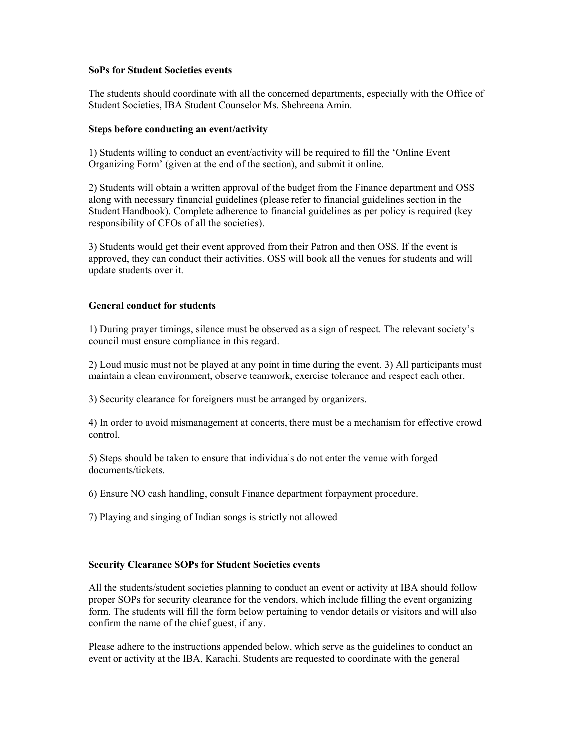#### **SoPs for Student Societies events**

The students should coordinate with all the concerned departments, especially with the Office of Student Societies, IBA Student Counselor Ms. Shehreena Amin.

## **Steps before conducting an event/activity**

1) Students willing to conduct an event/activity will be required to fill the 'Online Event Organizing Form' (given at the end of the section), and submit it online.

2) Students will obtain a written approval of the budget from the Finance department and OSS along with necessary financial guidelines (please refer to financial guidelines section in the Student Handbook). Complete adherence to financial guidelines as per policy is required (key responsibility of CFOs of all the societies).

3) Students would get their event approved from their Patron and then OSS. If the event is approved, they can conduct their activities. OSS will book all the venues for students and will update students over it.

# **General conduct for students**

1) During prayer timings, silence must be observed as a sign of respect. The relevant society's council must ensure compliance in this regard.

2) Loud music must not be played at any point in time during the event. 3) All participants must maintain a clean environment, observe teamwork, exercise tolerance and respect each other.

3) Security clearance for foreigners must be arranged by organizers.

4) In order to avoid mismanagement at concerts, there must be a mechanism for effective crowd control.

5) Steps should be taken to ensure that individuals do not enter the venue with forged documents/tickets.

6) Ensure NO cash handling, consult Finance department forpayment procedure.

7) Playing and singing of Indian songs is strictly not allowed

# **Security Clearance SOPs for Student Societies events**

All the students/student societies planning to conduct an event or activity at IBA should follow proper SOPs for security clearance for the vendors, which include filling the event organizing form. The students will fill the form below pertaining to vendor details or visitors and will also confirm the name of the chief guest, if any.

Please adhere to the instructions appended below, which serve as the guidelines to conduct an event or activity at the IBA, Karachi. Students are requested to coordinate with the general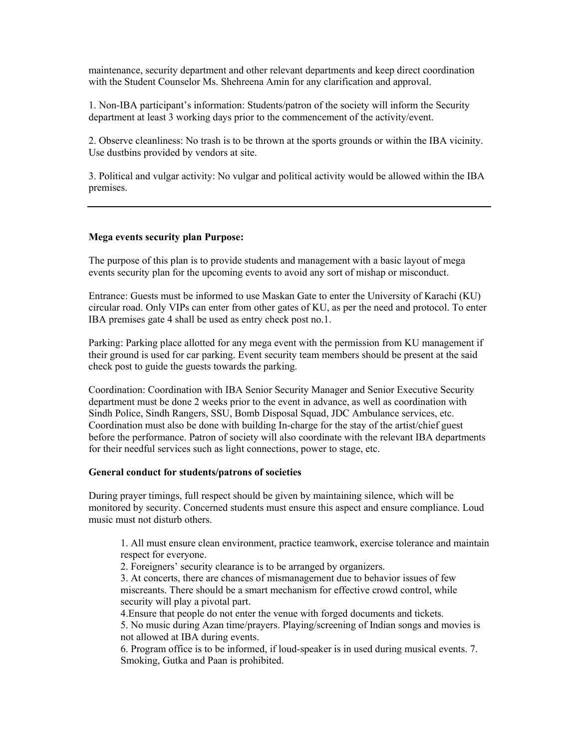maintenance, security department and other relevant departments and keep direct coordination with the Student Counselor Ms. Shehreena Amin for any clarification and approval.

1. Non-IBA participant's information: Students/patron of the society will inform the Security department at least 3 working days prior to the commencement of the activity/event.

2. Observe cleanliness: No trash is to be thrown at the sports grounds or within the IBA vicinity. Use dustbins provided by vendors at site.

3. Political and vulgar activity: No vulgar and political activity would be allowed within the IBA premises.

## **Mega events security plan Purpose:**

The purpose of this plan is to provide students and management with a basic layout of mega events security plan for the upcoming events to avoid any sort of mishap or misconduct.

Entrance: Guests must be informed to use Maskan Gate to enter the University of Karachi (KU) circular road. Only VIPs can enter from other gates of KU, as per the need and protocol. To enter IBA premises gate 4 shall be used as entry check post no.1.

Parking: Parking place allotted for any mega event with the permission from KU management if their ground is used for car parking. Event security team members should be present at the said check post to guide the guests towards the parking.

Coordination: Coordination with IBA Senior Security Manager and Senior Executive Security department must be done 2 weeks prior to the event in advance, as well as coordination with Sindh Police, Sindh Rangers, SSU, Bomb Disposal Squad, JDC Ambulance services, etc. Coordination must also be done with building In-charge for the stay of the artist/chief guest before the performance. Patron of society will also coordinate with the relevant IBA departments for their needful services such as light connections, power to stage, etc.

#### **General conduct for students/patrons of societies**

During prayer timings, full respect should be given by maintaining silence, which will be monitored by security. Concerned students must ensure this aspect and ensure compliance. Loud music must not disturb others.

1. All must ensure clean environment, practice teamwork, exercise tolerance and maintain respect for everyone.

2. Foreigners' security clearance is to be arranged by organizers.

3. At concerts, there are chances of mismanagement due to behavior issues of few miscreants. There should be a smart mechanism for effective crowd control, while security will play a pivotal part.

4.Ensure that people do not enter the venue with forged documents and tickets.

5. No music during Azan time/prayers. Playing/screening of Indian songs and movies is not allowed at IBA during events.

6. Program office is to be informed, if loud-speaker is in used during musical events. 7. Smoking, Gutka and Paan is prohibited.